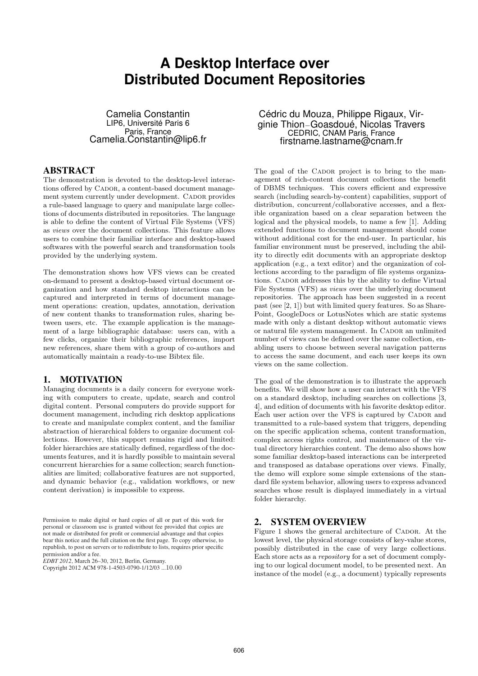# **A Desktop Interface over Distributed Document Repositories**

Camelia Constantin LIP6, Université Paris 6 Paris, France Camelia.Constantin@lip6.fr

# ABSTRACT

The demonstration is devoted to the desktop-level interactions offered by CADOR, a content-based document management system currently under development. CADOR provides a rule-based language to query and manipulate large collections of documents distributed in repositories. The language is able to define the content of Virtual File Systems (VFS) as views over the document collections. This feature allows users to combine their familiar interface and desktop-based softwares with the powerful search and transformation tools provided by the underlying system.

The demonstration shows how VFS views can be created on-demand to present a desktop-based virtual document organization and how standard desktop interactions can be captured and interpreted in terms of document management operations: creation, updates, annotation, derivation of new content thanks to transformation rules, sharing between users, etc. The example application is the management of a large bibliographic database: users can, with a few clicks, organize their bibliographic references, import new references, share them with a group of co-authors and automatically maintain a ready-to-use Bibtex file.

# 1. MOTIVATION

Managing documents is a daily concern for everyone working with computers to create, update, search and control digital content. Personal computers do provide support for document management, including rich desktop applications to create and manipulate complex content, and the familiar abstraction of hierarchical folders to organize document collections. However, this support remains rigid and limited: folder hierarchies are statically defined, regardless of the documents features, and it is hardly possible to maintain several concurrent hierarchies for a same collection; search functionalities are limited; collaborative features are not supported, and dynamic behavior (e.g., validation workflows, or new content derivation) is impossible to express.

*EDBT 2012*, March 26–30, 2012, Berlin, Germany.

Copyright 2012 ACM 978-1-4503-0790-1/12/03 ...10.00

#### Cédric du Mouza, Philippe Rigaux, Virginie Thion−Goasdoué, Nicolas Travers CEDRIC, CNAM Paris, France firstname.lastname@cnam.fr

The goal of the CADOR project is to bring to the management of rich-content document collections the benefit of DBMS techniques. This covers efficient and expressive search (including search-by-content) capabilities, support of distribution, concurrent/collaborative accesses, and a flexible organization based on a clear separation between the logical and the physical models, to name a few [1]. Adding extended functions to document management should come without additional cost for the end-user. In particular, his familiar environment must be preserved, including the ability to directly edit documents with an appropriate desktop application (e.g., a text editor) and the organization of collections according to the paradigm of file systems organizations. CADOR addresses this by the ability to define Virtual File Systems (VFS) as views over the underlying document repositories. The approach has been suggested in a recent past (see [2, 1]) but with limited query features. So as Share-Point, GoogleDocs or LotusNotes which are static systems made with only a distant desktop without automatic views or natural file system management. In CADOR an unlimited number of views can be defined over the same collection, enabling users to choose between several navigation patterns to access the same document, and each user keeps its own views on the same collection.

The goal of the demonstration is to illustrate the approach benefits. We will show how a user can interact with the VFS on a standard desktop, including searches on collections [3, 4], and edition of documents with his favorite desktop editor. Each user action over the VFS is captured by CADOR and transmitted to a rule-based system that triggers, depending on the specific application schema, content transformation, complex access rights control, and maintenance of the virtual directory hierarchies content. The demo also shows how some familiar desktop-based interactions can be interpreted and transposed as database operations over views. Finally, the demo will explore some simple extensions of the standard file system behavior, allowing users to express advanced searches whose result is displayed immediately in a virtual folder hierarchy.

#### 2. SYSTEM OVERVIEW

Figure 1 shows the general architecture of CADOR. At the lowest level, the physical storage consists of key-value stores, possibly distributed in the case of very large collections. Each store acts as a repository for a set of document complying to our logical document model, to be presented next. An instance of the model (e.g., a document) typically represents

Permission to make digital or hard copies of all or part of this work for personal or classroom use is granted without fee provided that copies are not made or distributed for profit or commercial advantage and that copies bear this notice and the full citation on the first page. To copy otherwise, to republish, to post on servers or to redistribute to lists, requires prior specific permission and/or a fee.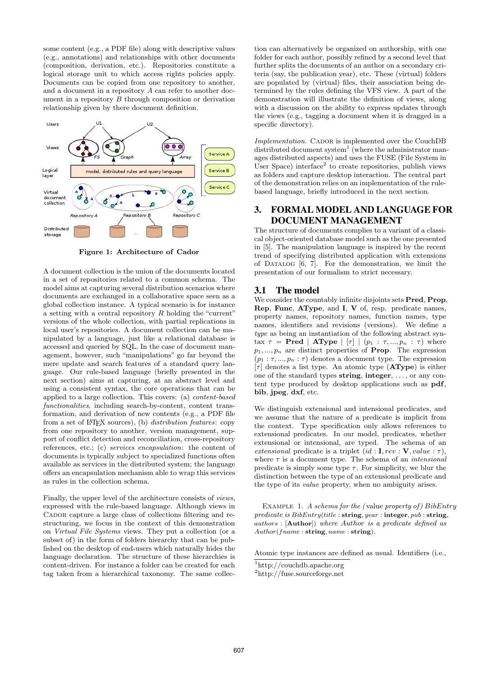some content (e.g., a PDF file) along with descriptive values (e.g., annotations) and relationships with other documents (composition, derivation, etc.). Repositories constitute a logical storage unit to which access rights policies apply. Documents can be copied from one repository to another, and a document in a repository A can refer to another document in a repository B through composition or derivation relationship given by there document definition.



Figure 1: Architecture of Cador

A document collection is the union of the documents located in a set of repositories related to a common schema. The model aims at capturing several distribution scenarios where documents are exchanged in a collaborative space seen as a global collection instance. A typical scenario is for instance a setting with a central repository  $R$  holding the "current" versions of the whole collection, with partial replications in local user's repositories. A document collection can be manipulated by a language, just like a relational database is accessed and queried by SQL. In the case of document management, however, such "manipulations" go far beyond the mere update and search features of a standard query language. Our rule-based language (briefly presented in the next section) aims at capturing, at an abstract level and using a consistent syntax, the core operations that can be applied to a large collection. This covers: (a) content-based functionalities, including search-by-content, content transformation, and derivation of new contents (e.g., a PDF file from a set of L<sup>AT</sup>FX sources), (b) *distribution features*: copy from one repository to another, version management, support of conflict detection and reconciliation, cross-repository references, etc.; (c) services encapsulation: the content of documents is typically subject to specialized functions often available as services in the distributed system; the language offers an encapsulation mechanism able to wrap this services as rules in the collection schema.

Finally, the upper level of the architecture consists of views, expressed with the rule-based language. Although views in CADOR capture a large class of collections filtering and restructuring, we focus in the context of this demonstration on Virtual File Systems views. They put a collection (or a subset of) in the form of folders hierarchy that can be published on the desktop of end-users which naturally hides the language declaration. The structure of these hierarchies is content-driven. For instance a folder can be created for each tag taken from a hierarchical taxonomy. The same collec-

tion can alternatively be organized on authorship, with one folder for each author, possibly refined by a second level that further splits the documents of an author on a secondary criteria (say, the publication year), etc. These (virtual) folders are populated by (virtual) files, their association being determined by the rules defining the VFS view. A part of the demonstration will illustrate the definition of views, along with a discussion on the ability to express updates through the views (e.g., tagging a document when it is dragged in a specific directory).

Implementation. CADOR is implemented over the CouchDB distributed document system<sup>1</sup> (where the administrator manages distributed aspects) and uses the FUSE (File System in User Space) interface<sup>2</sup> to create repositories, publish views as folders and capture desktop interaction. The central part of the demonstration relies on an implementation of the rulebased language, briefly introduced in the next section.

# 3. FORMAL MODEL AND LANGUAGE FOR DOCUMENT MANAGEMENT

The structure of documents complies to a variant of a classical object-oriented database model such as the one presented in [5]. The manipulation language is inspired by the recent trend of specifying distributed application with extensions of Datalog [6, 7]. For the demonstration, we limit the presentation of our formalism to strict necessary.

# 3.1 The model

We consider the countably infinite disjoints sets **Pred, Prop,** Rep, Func, AType, and I, V of, resp. predicate names, property names, repository names, function names, type names, identifiers and revisions (versions). We define a type as being an instantiation of the following abstract syntax  $\tau = \textbf{Pred} \mid \textbf{AType} \mid [\tau] \mid (p_1 : \tau, ..., p_n : \tau)$  where  $p_1, ..., p_n$  are distinct properties of **Prop**. The expression  $(p_1 : \tau, ..., p_n : \tau)$  denotes a document type. The expression  $[\tau]$  denotes a list type. An atomic type (**AType**) is either one of the standard types string, integer, . . . , or any content type produced by desktop applications such as pdf, bib, jpeg, dxf, etc.

We distinguish extensional and intensional predicates, and we assume that the nature of a predicate is implicit from the context. Type specification only allows references to extensional predicates. In our model, predicates, whether extensional or intensional, are typed. The schema of an extensional predicate is a triplet  $(id : I, rev : V, value : \tau)$ , where  $\tau$  is a document type. The schema of an *intensional* predicate is simply some type  $\tau$ . For simplicity, we blur the distinction between the type of an extensional predicate and the type of its value property, when no ambiguity arises.

Example 1. A schema for the ( value property of) BibEntry predicate is BibEntry(title : string, year : integer, pub : string, authors : [Author]) where Author is a predicate defined as  $Author(fname: string, name: string).$ 

Atomic type instances are defined as usual. Identifiers (i.e.,

<sup>1</sup>http://couchdb.apache.org

<sup>2</sup>http://fuse.sourceforge.net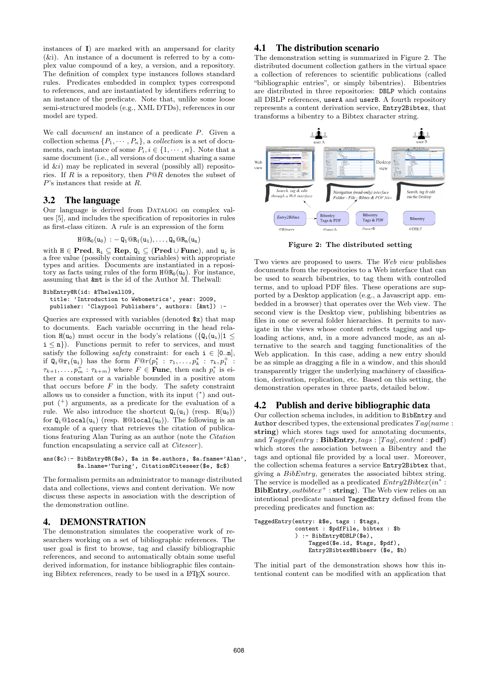instances of I) are marked with an ampersand for clarity (&i). An instance of a document is referred to by a complex value compound of a key, a version, and a repository. The definition of complex type instances follows standard rules. Predicates embedded in complex types correspond to references, and are instantiated by identifiers referring to an instance of the predicate. Note that, unlike some loose semi-structured models (e.g., XML DTDs), references in our model are typed.

We call document an instance of a predicate P. Given a collection schema  $\{P_1, \dots, P_n\}$ , a *collection* is a set of documents, each instance of some  $P_i, i \in \{1, \dots, n\}$ . Note that a same document (i.e., all versions of document sharing a same id  $\&i$ ) may be replicated in several (possibly all) repositories. If R is a repository, then  $P@R$  denotes the subset of P's instances that reside at R.

#### 3.2 The language

Our language is derived from Datalog on complex values [5], and includes the specification of repositories in rules as first-class citizen. A rule is an expression of the form

$$
H@R_0(u_0) : -\mathtt{Q}_1@R_1(u_1), \ldots, \mathtt{Q}_n@R_n(u_n)
$$

with  $H \in \textbf{Pred}, R_i \subseteq \textbf{Rep}, Q_i \subseteq (\textbf{Pred} \cup \textbf{Func}), \text{ and } u_i$  is a free value (possibly containing variables) with appropriate types and arities. Documents are instantiated in a repository as facts using rules of the form  $H@R<sub>0</sub>(u<sub>0</sub>)$ . For instance, assuming that &mt is the id of the Author M. Thelwall:

```
BibEntry@R(id: &Thelwall09,
 title: 'Introduction to Webometrics', year: 2009,
publisher: 'Claypool Publishers', authors: [&mt]) :-
```
Queries are expressed with variables (denoted \$x) that map to documents. Each variable occurring in the head relation  $H(u_0)$  must occur in the body's relations ( $\{Q_i(u_i)|1 \leq$  $i \leq n$ ). Functions permit to refer to services, and must satisfy the following *safety* constraint: for each  $i \in [0..n]$ , if  $\mathbb{Q}_i \mathbb{Q} r_i(\mathbf{u}_i)$  has the form  $F \mathbb{Q} r(p_1^* : \tau_1, \ldots, p_k^* : \tau_k, p_1^+ :$  $\tau_{k+1}, \ldots, p_m^+ : \tau_{k+m}$  where  $F \in \textbf{Func}$ , then each  $p_i^*$  is either a constant or a variable bounded in a positive atom that occurs before  $F$  in the body. The safety constraint allows us to consider a function, with its input  $(*)$  and output  $(+)$  arguments, as a predicate for the evaluation of a rule. We also introduce the shortcut  $Q_i(u_i)$  (resp.  $H(u_0)$ ) for  $Q_i$ @local(u<sub>i</sub>) (resp. H@local(u<sub>0</sub>)). The following is an example of a query that retrieves the citation of publications featuring Alan Turing as an author (note the Citation function encapsulating a service call at *Citeseer*).

ans(\$c):- BibEntry@R(\$e), \$a in \$e.authors, \$a.fname='Alan', \$a.lname='Turing', Citation@Citeseer(\$e, \$c\$)

The formalism permits an administrator to manage distributed data and collections, views and content derivation. We now discuss these aspects in association with the description of the demonstration outline.

# 4. DEMONSTRATION

The demonstration simulates the cooperative work of researchers working on a set of bibliographic references. The user goal is first to browse, tag and classify bibliographic references, and second to automatically obtain some useful derived information, for instance bibliographic files containing Bibtex references, ready to be used in a L<sup>A</sup>T<sub>F</sub>X source.

# 4.1 The distribution scenario

The demonstration setting is summarized in Figure 2. The distributed document collection gathers in the virtual space a collection of references to scientific publications (called "bibliographic entries", or simply bibentries). Bibentries are distributed in three repositories: DBLP which contains all DBLP references, userA and userB. A fourth repository represents a content derivation service, Entry2Bibtex, that transforms a bibentry to a Bibtex character string.



Figure 2: The distributed setting

Two views are proposed to users. The Web view publishes documents from the repositories to a Web interface that can be used to search bibentries, to tag them with controlled terms, and to upload PDF files. These operations are supported by a Desktop application (e.g., a Javascript app. embedded in a browser) that operates over the Web view. The second view is the Desktop view, publishing bibentries as files in one or several folder hierarchies. It permits to navigate in the views whose content reflects tagging and uploading actions, and, in a more advanced mode, as an alternative to the search and tagging functionalities of the Web application. In this case, adding a new entry should be as simple as dragging a file in a window, and this should transparently trigger the underlying machinery of classification, derivation, replication, etc. Based on this setting, the demonstration operates in three parts, detailed below.

# 4.2 Publish and derive bibliographic data

Our collection schema includes, in addition to BibEntry and Author described types, the extensional predicates  $Tag(name)$ : string) which stores tags used for annotating documents, and  $Tagged(entry : \textbf{BibEntry}, tags : [Tag], content : \textbf{pdf})$ which stores the association between a Bibentry and the tags and optional file provided by a local user. Moreover, the collection schema features a service Entry2Bibtex that, giving a BibEntry, generates the associated bibtex string. The service is modelled as a predicated  $Entry2Bibtex(in<sup>*</sup>$ :  $\mathbf{BibEntry}, outbibtext^+ : \mathbf{string}).$  The Web view relies on an intentional predicate named TaggedEntry defined from the preceding predicates and function as:

```
TaggedEntry(entry: &$e, tags : $tags,
           content : $pdfFile, bibtex : $b
           ) :- BibEntry@DBLP($e),
               Tagged($e.id, $tags, $pdf),
               Entry2Bibtex@Bibserv ($e, $b)
```
The initial part of the demonstration shows how this intentional content can be modified with an application that